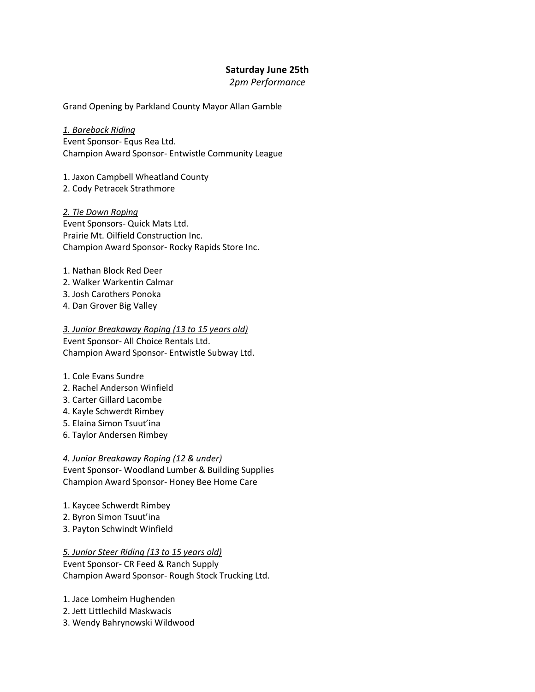# **Saturday June 25th**

## *2pm Performance*

Grand Opening by Parkland County Mayor Allan Gamble

*1. Bareback Riding* Event Sponsor- Equs Rea Ltd. Champion Award Sponsor- Entwistle Community League

1. Jaxon Campbell Wheatland County 2. Cody Petracek Strathmore

*2. Tie Down Roping* Event Sponsors- Quick Mats Ltd. Prairie Mt. Oilfield Construction Inc. Champion Award Sponsor- Rocky Rapids Store Inc.

- 1. Nathan Block Red Deer
- 2. Walker Warkentin Calmar
- 3. Josh Carothers Ponoka
- 4. Dan Grover Big Valley

*3. Junior Breakaway Roping (13 to 15 years old)* Event Sponsor- All Choice Rentals Ltd. Champion Award Sponsor- Entwistle Subway Ltd.

- 1. Cole Evans Sundre
- 2. Rachel Anderson Winfield
- 3. Carter Gillard Lacombe
- 4. Kayle Schwerdt Rimbey
- 5. Elaina Simon Tsuut'ina
- 6. Taylor Andersen Rimbey

#### *4. Junior Breakaway Roping (12 & under)*

Event Sponsor- Woodland Lumber & Building Supplies Champion Award Sponsor- Honey Bee Home Care

- 1. Kaycee Schwerdt Rimbey
- 2. Byron Simon Tsuut'ina
- 3. Payton Schwindt Winfield

### *5. Junior Steer Riding (13 to 15 years old)*

Event Sponsor- CR Feed & Ranch Supply Champion Award Sponsor- Rough Stock Trucking Ltd.

1. Jace Lomheim Hughenden

- 2. Jett Littlechild Maskwacis
- 3. Wendy Bahrynowski Wildwood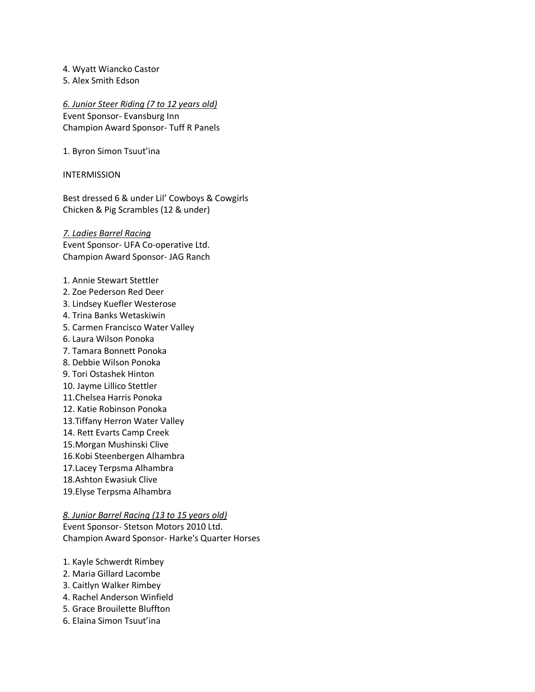4. Wyatt Wiancko Castor

5. Alex Smith Edson

*6. Junior Steer Riding (7 to 12 years old)*

Event Sponsor- Evansburg Inn Champion Award Sponsor- Tuff R Panels

1. Byron Simon Tsuut'ina

INTERMISSION

Best dressed 6 & under Lil' Cowboys & Cowgirls Chicken & Pig Scrambles (12 & under)

*7. Ladies Barrel Racing* Event Sponsor- UFA Co-operative Ltd. Champion Award Sponsor- JAG Ranch

- 1. Annie Stewart Stettler
- 2. Zoe Pederson Red Deer
- 3. Lindsey Kuefler Westerose
- 4. Trina Banks Wetaskiwin
- 5. Carmen Francisco Water Valley
- 6. Laura Wilson Ponoka
- 7. Tamara Bonnett Ponoka
- 8. Debbie Wilson Ponoka
- 9. Tori Ostashek Hinton
- 10. Jayme Lillico Stettler
- 11.Chelsea Harris Ponoka
- 12. Katie Robinson Ponoka
- 13.Tiffany Herron Water Valley
- 14. Rett Evarts Camp Creek
- 15.Morgan Mushinski Clive
- 16.Kobi Steenbergen Alhambra
- 17.Lacey Terpsma Alhambra
- 18.Ashton Ewasiuk Clive
- 19.Elyse Terpsma Alhambra

#### *8. Junior Barrel Racing (13 to 15 years old)*

Event Sponsor- Stetson Motors 2010 Ltd. Champion Award Sponsor- Harke's Quarter Horses

- 1. Kayle Schwerdt Rimbey
- 2. Maria Gillard Lacombe
- 3. Caitlyn Walker Rimbey
- 4. Rachel Anderson Winfield
- 5. Grace Brouilette Bluffton
- 6. Elaina Simon Tsuut'ina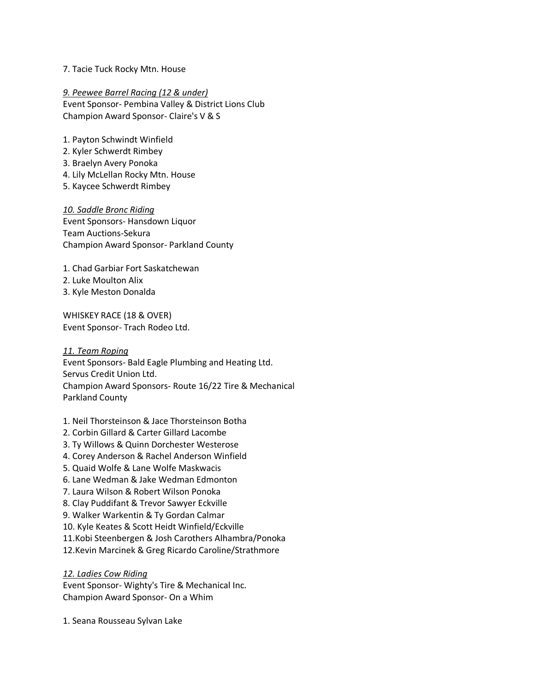#### 7. Tacie Tuck Rocky Mtn. House

*9. Peewee Barrel Racing (12 & under)* Event Sponsor- Pembina Valley & District Lions Club Champion Award Sponsor- Claire's V & S

- 1. Payton Schwindt Winfield
- 2. Kyler Schwerdt Rimbey
- 3. Braelyn Avery Ponoka
- 4. Lily McLellan Rocky Mtn. House
- 5. Kaycee Schwerdt Rimbey

*10. Saddle Bronc Riding* Event Sponsors- Hansdown Liquor Team Auctions-Sekura Champion Award Sponsor- Parkland County

- 1. Chad Garbiar Fort Saskatchewan
- 2. Luke Moulton Alix
- 3. Kyle Meston Donalda

WHISKEY RACE (18 & OVER) Event Sponsor- Trach Rodeo Ltd.

*11. Team Roping* Event Sponsors- Bald Eagle Plumbing and Heating Ltd. Servus Credit Union Ltd. Champion Award Sponsors- Route 16/22 Tire & Mechanical Parkland County

- 1. Neil Thorsteinson & Jace Thorsteinson Botha
- 2. Corbin Gillard & Carter Gillard Lacombe
- 3. Ty Willows & Quinn Dorchester Westerose
- 4. Corey Anderson & Rachel Anderson Winfield
- 5. Quaid Wolfe & Lane Wolfe Maskwacis
- 6. Lane Wedman & Jake Wedman Edmonton
- 7. Laura Wilson & Robert Wilson Ponoka
- 8. Clay Puddifant & Trevor Sawyer Eckville
- 9. Walker Warkentin & Ty Gordan Calmar
- 10. Kyle Keates & Scott Heidt Winfield/Eckville
- 11.Kobi Steenbergen & Josh Carothers Alhambra/Ponoka
- 12.Kevin Marcinek & Greg Ricardo Caroline/Strathmore

### *12. Ladies Cow Riding*

Event Sponsor- Wighty's Tire & Mechanical Inc. Champion Award Sponsor- On a Whim

1. Seana Rousseau Sylvan Lake